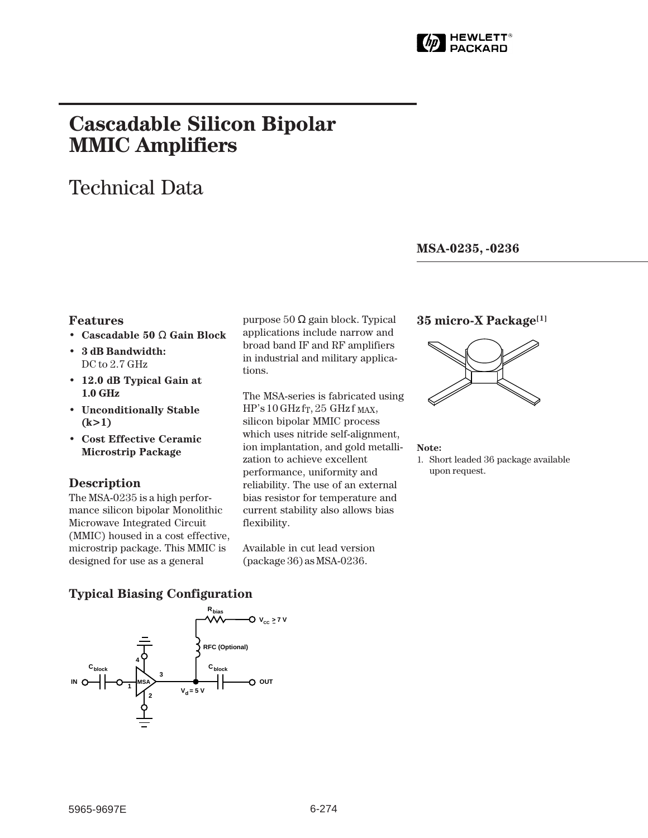

# **Cascadable Silicon Bipolar MMIC␣ Amplifiers**

## Technical Data

**MSA-0235, -0236**

#### **Features**

- **Cascadable 50** Ω **Gain Block**
- **3 dB Bandwidth:** DC to 2.7 GHz
- **12.0 dB Typical Gain at 1.0␣ GHz**
- **Unconditionally Stable (k>1)**
- **Cost Effective Ceramic Microstrip Package**

#### **Description**

The MSA-0235 is a high performance silicon bipolar Monolithic Microwave Integrated Circuit (MMIC) housed in a cost effective, microstrip package. This MMIC is designed for use as a general

purpose 50 Ω gain block. Typical applications include narrow and broad band IF and RF amplifiers in industrial and military applications.

The MSA-series is fabricated using  $HP's 10 GHz$  fr, 25 GHz f MAX, silicon bipolar MMIC process which uses nitride self-alignment, ion implantation, and gold metallization to achieve excellent performance, uniformity and reliability. The use of an external bias resistor for temperature and current stability also allows bias flexibility.

Available in cut lead version (package 36) as MSA-0236.

#### **35 micro-X Package[1]**



#### **Note:**

1. Short leaded 36 package available upon request.

### **Typical Biasing Configuration**

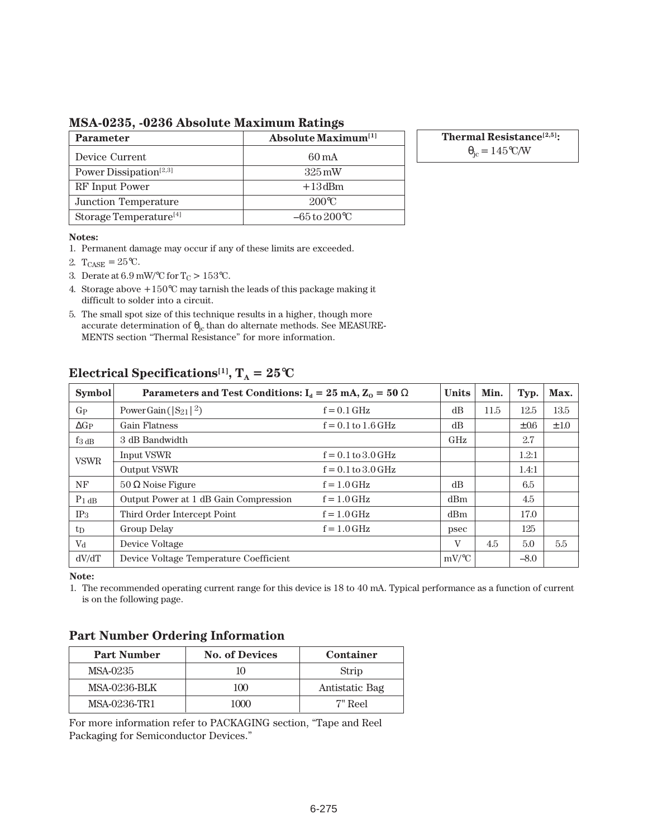#### **MSA-0235, -0236 Absolute Maximum Ratings**

| <b>Parameter</b>                   | <b>Absolute Maximum</b> <sup>[1]</sup> |  |  |  |  |
|------------------------------------|----------------------------------------|--|--|--|--|
| Device Current                     | 60 mA                                  |  |  |  |  |
| Power Dissipation <sup>[2,3]</sup> | $325 \,\mathrm{mW}$                    |  |  |  |  |
| RF Input Power                     | $+13$ dBm                              |  |  |  |  |
| Junction Temperature               | $200^{\circ}C$                         |  |  |  |  |
| Storage Temperature <sup>[4]</sup> | $-65$ to $200^{\circ}$ C               |  |  |  |  |

**Thermal Resistance[2,5]:**

 $\theta_{\rm jc} = 145^{\circ}$ C/W

#### **Notes:**

- 1. Permanent damage may occur if any of these limits are exceeded.
- 2.  $T_{CASE} = 25^{\circ}C$ .
- 3. Derate at 6.9 mW/°C for  $T_C > 153$ °C.
- 4. Storage above  $+150^{\circ}\mathrm{C}$  may tarnish the leads of this package making it difficult to solder into a circuit.
- 5. The small spot size of this technique results in a higher, though more accurate determination of  $\theta_{\rm ic}$  than do alternate methods. See MEASURE-MENTS section "Thermal Resistance" for more information.

| <b>Symbol</b>       | Parameters and Test Conditions: $I_d = 25 \text{ mA}, Z_0 = 50 \Omega$ | <b>Units</b>           | Min.     | Typ. | Max.      |      |
|---------------------|------------------------------------------------------------------------|------------------------|----------|------|-----------|------|
| $G_{P}$             | Power Gain ( $ S_{21} ^2$ )                                            | $f = 0.1$ GHz          | dB       | 11.5 | 12.5      | 13.5 |
| $\Delta G_P$        | Gain Flatness                                                          | $f = 0.1$ to $1.6$ GHz | dB       |      | $\pm 0.6$ | ±1.0 |
| $f_3$ <sub>dB</sub> | 3 dB Bandwidth                                                         |                        | GHz      |      | 2.7       |      |
| <b>VSWR</b>         | Input VSWR                                                             | $f = 0.1$ to $3.0$ GHz |          |      | 1.2:1     |      |
|                     | <b>Output VSWR</b>                                                     | $f = 0.1$ to $3.0$ GHz |          |      | 1.4:1     |      |
| NF                  | $50 \Omega$ Noise Figure                                               | $f = 1.0$ GHz          | dB       |      | 6.5       |      |
| $P_1$ dB            | Output Power at 1 dB Gain Compression                                  | $f = 1.0$ GHz          | dBm      |      | 4.5       |      |
| IP <sub>3</sub>     | Third Order Intercept Point                                            | $f = 1.0$ GHz          | dBm      |      | 17.0      |      |
| $t_{D}$             | Group Delay                                                            | $f = 1.0$ GHz          | psec     |      | 125       |      |
| V <sub>d</sub>      | Device Voltage                                                         |                        | V        | 4.5  | 5.0       | 5.5  |
| dV/dT               | Device Voltage Temperature Coefficient                                 |                        | $mV$ /°C |      | $-8.0$    |      |

### **Electrical Specifications**<sup>[1]</sup>,  $T_A = 25^\circ \text{C}$

**Note:**

1. The recommended operating current range for this device is 18 to 40 mA. Typical performance as a function of current is on the following page.

### **Part Number Ordering Information**

| <b>Part Number</b>  | <b>No. of Devices</b> | <b>Container</b> |  |  |
|---------------------|-----------------------|------------------|--|--|
| MSA-0235            | 10                    | Strip            |  |  |
| <b>MSA-0236-BLK</b> | 100                   | Antistatic Bag   |  |  |
| MSA-0236-TR1        | 1000                  | 7" Reel          |  |  |

For more information refer to PACKAGING section, "Tape and Reel Packaging for Semiconductor Devices."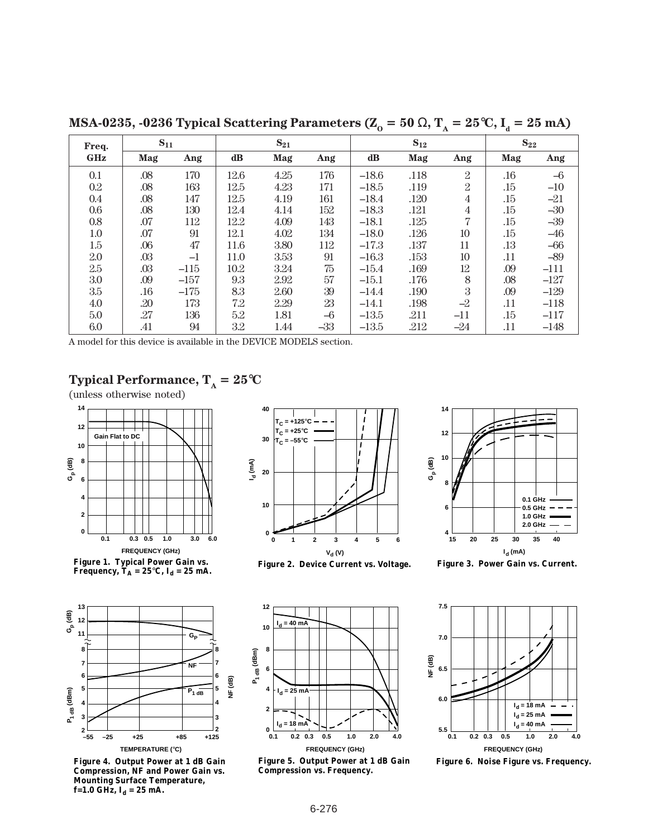| Freq.      | $S_{11}$ |        | $S_{21}$      |      |       | $S_{12}$      |      |                | $S_{22}$ |        |
|------------|----------|--------|---------------|------|-------|---------------|------|----------------|----------|--------|
| <b>GHz</b> | Mag      | Ang    | $\mathbf{dB}$ | Mag  | Ang   | $\mathbf{dB}$ | Mag  | Ang            | Mag      | Ang    |
| 0.1        | .08      | 170    | 12.6          | 4.25 | 176   | $-18.6$       | .118 | $\mathbf{2}$   | .16      | $-6$   |
| $0.2\,$    | .08      | 163    | 12.5          | 4.23 | 171   | $-18.5$       | .119 | $\overline{2}$ | .15      | $-10$  |
| 0.4        | .08      | 147    | 12.5          | 4.19 | 161   | $-18.4$       | .120 | $\overline{4}$ | .15      | $-21$  |
| $0.6\,$    | .08      | 130    | 12.4          | 4.14 | 152   | $-18.3$       | .121 | $\overline{4}$ | .15      | $-30$  |
| 0.8        | .07      | 112    | 12.2          | 4.09 | 143   | $-18.1$       | .125 | 7              | .15      | $-39$  |
| 1.0        | .07      | 91     | 12.1          | 4.02 | 134   | $-18.0$       | .126 | 10             | .15      | $-46$  |
| 1.5        | .06      | 47     | 11.6          | 3.80 | 112   | $-17.3$       | .137 | 11             | .13      | $-66$  |
| 2.0        | .03      | $-1$   | 11.0          | 3.53 | 91    | $-16.3$       | .153 | 10             | .11      | $-89$  |
| 2.5        | .03      | $-115$ | 10.2          | 3.24 | 75    | $-15.4$       | .169 | 12             | .09      | $-111$ |
| 3.0        | .09      | $-157$ | 9.3           | 2.92 | 57    | $-15.1$       | .176 | 8              | .08      | $-127$ |
| 3.5        | .16      | $-175$ | 8.3           | 2.60 | 39    | $-14.4$       | .190 | 3              | .09      | $-129$ |
| 4.0        | .20      | 173    | 7.2           | 2.29 | 23    | $-14.1$       | .198 | $-2$           | .11      | $-118$ |
| 5.0        | .27      | 136    | 5.2           | 1.81 | $-6$  | $-13.5$       | .211 | $-11$          | .15      | $-117$ |
| $6.0\,$    | .41      | 94     | 3.2           | 1.44 | $-33$ | $-13.5$       | .212 | $-24$          | .11      | $-148$ |

**MSA-0235, -0236 Typical Scattering Parameters (** $Z_0 = 50 \Omega$ **,**  $T_A = 25^{\circ}C$ **,**  $I_d = 25$  **mA)** 

A model for this device is available in the DEVICE MODELS section.

#### **Gp (dB) 0.1 0.3 0.5 1.0 3.0 6.0 FREQUENCY (GHz) Figure 1. Typical Power Gain vs.**  Frequency,  $\mathbf{T_A} = 25^{\circ}\mathbf{C}$ ,  $\mathbf{I_d} = 25$  mA. **0 2 4 6 8 10 12 14 Gain Flat to DC**





**Figure 3. Power Gain vs. Current.**



**Figure 5. Output Power at 1 dB Gain Compression vs. Frequency.**



**Figure 6. Noise Figure vs. Frequency.**

## **Typical Performance,**  $T_A = 25^{\circ}C$

(unless otherwise noted)



**Figure 4. Output Power at 1 dB Gain Compression, NF and Power Gain vs. Mounting Surface Temperature,**   $f=1.0$  GHz,  $I_d = 25$  mA.

**TEMPERATURE (**°**C)**